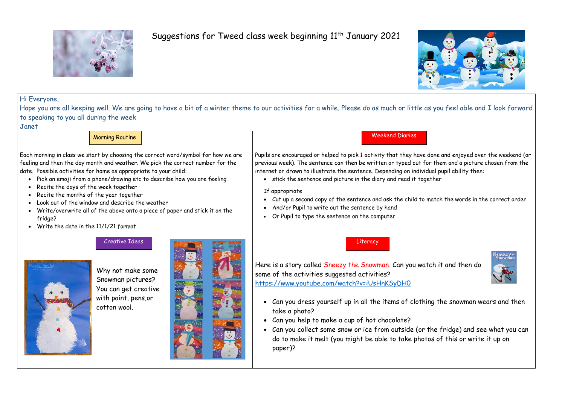

## Suggestions for Tweed class week beginning 11<sup>th</sup> January 2021



Hi Everyone,

Hope you are all keeping well. We are going to have a bit of a winter theme to our activities for a while. Please do as much or little as you feel able and I look forward to speaking to you all during the week

Janet

Weekend Diaries

Each morning in class we start by choosing the correct word/symbol for how we are feeling and then the day month and weather. We pick the correct number for the date. Possible activities for home as appropriate to your child: • Pick an emoji from a phone/drawing etc to describe how you are feeling • Recite the days of the week together • Recite the months of the year together • Look out of the window and describe the weather • Write/overwrite all of the above onto a piece of paper and stick it on the fridge? • Write the date in the 11/1/21 format If appropriate Creative Ideas

Pupils are encouraged or helped to pick 1 activity that they have done and enjoyed over the weekend (or previous week). The sentence can then be written or typed out for them and a picture chosen from the internet or drawn to illustrate the sentence. Depending on individual pupil ability then:

- stick the sentence and picture in the diary and read it together
- Cut up a second copy of the sentence and ask the child to match the words in the correct order
- And/or Pupil to write out the sentence by hand
- Or Pupil to type the sentence on the computer

Why not make some Snowman pictures? You can get creative with paint, pens,or cotton wool.



## Literacy



Here is a story called Sneezy the Snowman. Can you watch it and then do some of the activities suggested activities? <https://www.youtube.com/watch?v=iUsHnKSyDH0>

- Can you dress yourself up in all the items of clothing the snowman wears and then take a photo?
- Can you help to make a cup of hot chocolate?
- Can you collect some snow or ice from outside (or the fridge) and see what you can do to make it melt (you might be able to take photos of this or write it up on paper)?